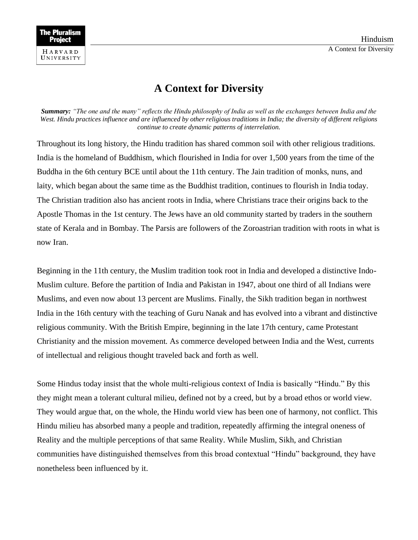## **A Context for Diversity**

*Summary: "The one and the many" reflects the Hindu philosophy of India as well as the exchanges between India and the West. Hindu practices influence and are influenced by other religious traditions in India; the diversity of different religions continue to create dynamic patterns of interrelation.*

Throughout its long history, the Hindu tradition has shared common soil with other religious traditions. India is the homeland of Buddhism, which flourished in India for over 1,500 years from the time of the Buddha in the 6th century BCE until about the 11th century. The Jain tradition of monks, nuns, and laity, which began about the same time as the Buddhist tradition, continues to flourish in India today. The Christian tradition also has ancient roots in India, where Christians trace their origins back to the Apostle Thomas in the 1st century. The Jews have an old community started by traders in the southern state of Kerala and in Bombay. The Parsis are followers of the Zoroastrian tradition with roots in what is now Iran.

Beginning in the 11th century, the Muslim tradition took root in India and developed a distinctive Indo-Muslim culture. Before the partition of India and Pakistan in 1947, about one third of all Indians were Muslims, and even now about 13 percent are Muslims. Finally, the Sikh tradition began in northwest India in the 16th century with the teaching of Guru Nanak and has evolved into a vibrant and distinctive religious community. With the British Empire, beginning in the late 17th century, came Protestant Christianity and the mission movement. As commerce developed between India and the West, currents of intellectual and religious thought traveled back and forth as well.

Some Hindus today insist that the whole multi-religious context of India is basically "Hindu." By this they might mean a tolerant cultural milieu, defined not by a creed, but by a broad ethos or world view. They would argue that, on the whole, the Hindu world view has been one of harmony, not conflict. This Hindu milieu has absorbed many a people and tradition, repeatedly affirming the integral oneness of Reality and the multiple perceptions of that same Reality. While Muslim, Sikh, and Christian communities have distinguished themselves from this broad contextual "Hindu" background, they have nonetheless been influenced by it.